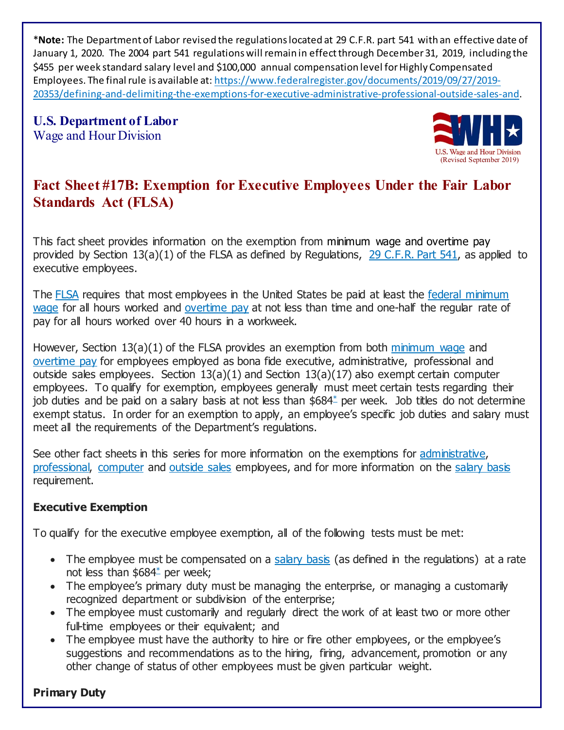\***Note:** The Department of Labor revised the regulations located at 29 C.F.R. part 541 with an effective date of January 1, 2020. The 2004 part 541 regulations will remain in effect through December 31, 2019, including the \$455 per week standard salary level and \$100,000 annual compensation level for Highly Compensated Employees. The final rule is available at: [https://www.federalregister.gov/documents/2019/09/27/2019-](https://www.federalregister.gov/documents/2019/09/27/2019-20353/defining-and-delimiting-the-exemptions-for-executive-administrative-professional-outside-sales-and) [20353/defining-and-delimiting-the-exemptions-for-executive-administrative-professional-outside-sales-and](https://www.federalregister.gov/documents/2019/09/27/2019-20353/defining-and-delimiting-the-exemptions-for-executive-administrative-professional-outside-sales-and).

**U.S. Department of Labor**  Wage and Hour Division



# **Fact Sheet #17B: Exemption for Executive Employees Under the Fair Labor Standards Act (FLSA)**

This fact sheet provides information on the exemption from minimum wage and overtime pay provided by Section 13(a)(1) of the FLSA as defined by Regulations, [29 C.F.R. Part 541,](https://www.ecfr.gov/cgi-bin/text-idx?SID=62e63b2a9c9a27781cf6af25feb88d8b&mc=true&node=pt29.3.541&rgn=div5) as applied to executive employees.

The [FLSA](https://www.dol.gov/whd/flsa/index.htm) requires that most employees in the United States be paid at least the [federal minimum](https://www.dol.gov/WHD/minimumwage.htm)  [wage](https://www.dol.gov/WHD/minimumwage.htm) for all hours worked and [overtime pay](https://www.dol.gov/whd/overtime_pay.htm) at not less than time and one-half the regular rate of pay for all hours worked over 40 hours in a workweek.

However, Section 13(a)(1) of the FLSA provides an exemption from both [minimum wage](https://www.dol.gov/WHD/minimumwage.htm) and [overtime pay](https://www.dol.gov/whd/overtime_pay.htm) for employees employed as bona fide executive, administrative, professional and outside sales employees. Section  $13(a)(1)$  and Section  $13(a)(17)$  also exempt certain computer employees. To qualify for exemption, employees generally must meet certain tests regarding their job duties and be paid on a salary basis at not less than \$684\* per week. Job titles do not determine exempt status. In order for an exemption to apply, an employee's specific job duties and salary must meet all the requirements of the Department's regulations.

See other fact sheets in this series for more information on the exemptions for [administrative,](https://www.dol.gov/whd/overtime/fs17c_administrative.pdf)  [professional,](https://www.dol.gov/whd/overtime/fs17d_professional.pdf) [computer](https://www.dol.gov/whd/overtime/fs17e_computer.pdf) and [outside sales](https://www.dol.gov/whd/overtime/fs17f_outsidesales.pdf) employees, and for more information on the [salary basis](https://www.dol.gov/whd/overtime/fs17g_salary.pdf) requirement.

## **Executive Exemption**

To qualify for the executive employee exemption, all of the following tests must be met:

- The employee must be compensated on a [salary basis](https://www.dol.gov/whd/overtime/fs17g_salary.pdf) (as defined in the regulations) at a rate not less than \$68[4\\*](https://www.dol.gov/whd/overtime/fs17b_executive.htm#footnoteOvertime) per week;
- The employee's primary duty must be managing the enterprise, or managing a customarily recognized department or subdivision of the enterprise;
- The employee must customarily and regularly direct the work of at least two or more other full-time employees or their equivalent; and
- The employee must have the authority to hire or fire other employees, or the employee's suggestions and recommendations as to the hiring, firing, advancement, promotion or any other change of status of other employees must be given particular weight.

## **Primary Duty**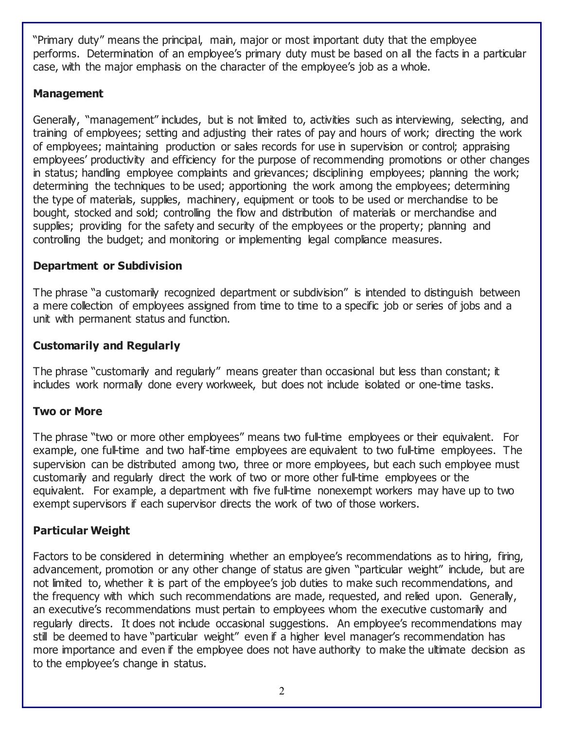"Primary duty" means the principal, main, major or most important duty that the employee performs. Determination of an employee's primary duty must be based on all the facts in a particular case, with the major emphasis on the character of the employee's job as a whole.

#### **Management**

Generally, "management" includes, but is not limited to, activities such as interviewing, selecting, and training of employees; setting and adjusting their rates of pay and hours of work; directing the work of employees; maintaining production or sales records for use in supervision or control; appraising employees' productivity and efficiency for the purpose of recommending promotions or other changes in status; handling employee complaints and grievances; disciplining employees; planning the work; determining the techniques to be used; apportioning the work among the employees; determining the type of materials, supplies, machinery, equipment or tools to be used or merchandise to be bought, stocked and sold; controlling the flow and distribution of materials or merchandise and supplies; providing for the safety and security of the employees or the property; planning and controlling the budget; and monitoring or implementing legal compliance measures.

## **Department or Subdivision**

The phrase "a customarily recognized department or subdivision" is intended to distinguish between a mere collection of employees assigned from time to time to a specific job or series of jobs and a unit with permanent status and function.

## **Customarily and Regularly**

The phrase "customarily and regularly" means greater than occasional but less than constant; it includes work normally done every workweek, but does not include isolated or one-time tasks.

## **Two or More**

The phrase "two or more other employees" means two full-time employees or their equivalent. For example, one full-time and two half-time employees are equivalent to two full-time employees. The supervision can be distributed among two, three or more employees, but each such employee must customarily and regularly direct the work of two or more other full-time employees or the equivalent. For example, a department with five full-time nonexempt workers may have up to two exempt supervisors if each supervisor directs the work of two of those workers.

## **Particular Weight**

Factors to be considered in determining whether an employee's recommendations as to hiring, firing, advancement, promotion or any other change of status are given "particular weight" include, but are not limited to, whether it is part of the employee's job duties to make such recommendations, and the frequency with which such recommendations are made, requested, and relied upon. Generally, an executive's recommendations must pertain to employees whom the executive customarily and regularly directs. It does not include occasional suggestions. An employee's recommendations may still be deemed to have "particular weight" even if a higher level manager's recommendation has more importance and even if the employee does not have authority to make the ultimate decision as to the employee's change in status.